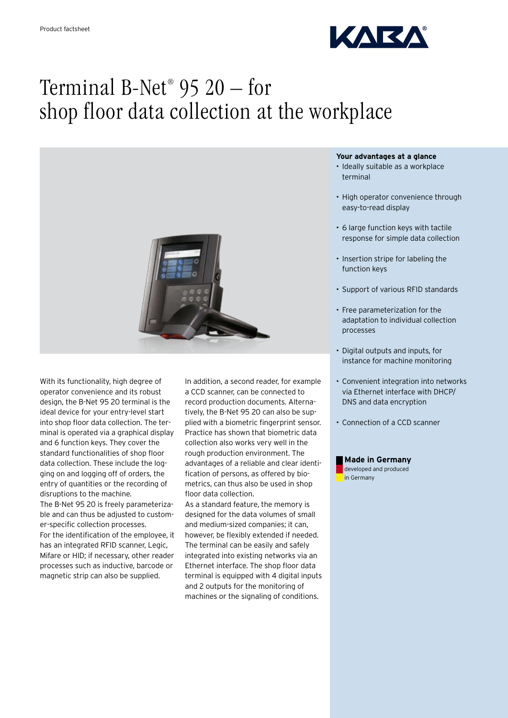

# Terminal B-Net® 95 20 – for shop floor data collection at the workplace



With its functionality, high degree of operator convenience and its robust design, the B-Net 95 20 terminal is the ideal device for your entry-level start into shop floor data collection. The terminal is operated via a graphical display and 6 function keys. They cover the standard functionalities of shop floor data collection. These include the logging on and logging off of orders, the entry of quantities or the recording of disruptions to the machine.

The B-Net 95 20 is freely parameterizable and can thus be adjusted to customer-specific collection processes. For the identification of the employee, it has an integrated RFID scanner, Legic, Mifare or HID; if necessary, other reader processes such as inductive, barcode or magnetic strip can also be supplied.

In addition, a second reader, for example a CCD scanner, can be connected to record production documents. Alternatively, the B-Net 95 20 can also be supplied with a biometric fingerprint sensor. Practice has shown that biometric data collection also works very well in the rough production environment. The advantages of a reliable and clear identification of persons, as offered by biometrics, can thus also be used in shop floor data collection.

As a standard feature, the memory is designed for the data volumes of small and medium-sized companies; it can, however, be flexibly extended if needed. The terminal can be easily and safely integrated into existing networks via an Ethernet interface. The shop floor data terminal is equipped with 4 digital inputs and 2 outputs for the monitoring of machines or the signaling of conditions.

## **Your advantages at a glance**

- Ideally suitable as a workplace terminal
- High operator convenience through easy-to-read display
- • 6 large function keys with tactile response for simple data collection
- Insertion stripe for labeling the function keys
- • Support of various RFID standards
- • Free parameterization for the adaptation to individual collection processes
- • Digital outputs and inputs, for instance for machine monitoring
- • Convenient integration into networks via Ethernet interface with DHCP/ DNS and data encryption
- Connection of a CCD scanner

## **Made in Germany**

developed and produced in Germany